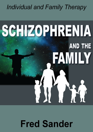### **Individual and Family Therapy**

# SCHIZOPHRENIA **AND THE** FAMILY

## **Fred Sander**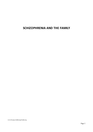#### **SCHIZOPHRENIA AND THE FAMILY**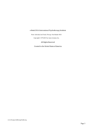#### e-Book 2016 International Psychotherapy Institute

From *Individual and Family Therapy* Fred Sander M.D.

Copyright © 1979,2013 by Jason Aronson, Inc.

All Rights Reserved

Created in the United States of America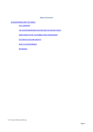**Table of Contents**

#### [SCHIZOPHRENIA](#page-4-0) AND THE FAMILY

PLOT [SUMMARY](#page-4-1)

THE [SCHIZOPHRENOGENIC](#page-5-0) MOTHER AND THE SKEWED FAMILY

[UNDIFFERENTIATION:](#page-9-0) THE RUBBER-FENCE PHENOMENON

[DIFFERENTIATIONAND](#page-13-0) GROWTH

WHAT IS [SCHIZOPHRENIA?](#page-16-0)

[REFERENCES](#page-17-0)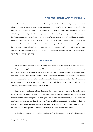#### **SCHIZOPHRENIA AND THE FAMILY**

<span id="page-4-0"></span>In the last chapter we examined the relationship of the individual and family life cycles in *Who's Afraid of Virginia Woolf?*, a play in which a continuing interplay of these cycles was precluded by the impasse of childlessness. We noted in that chapter that the birth of the first child represented the most critical stage in a family's development, profoundly and irreversibly altering the family's structure. Simultaneously the baby is enveloped in a brief phase of symbiosis, soon to be followed by the separationindividuation process, which Mahler, Pine, and Bergman have called "the psychological birth of the human infant" (1975). Severe disturbances in this early stage of development have been implicated in the development of the schizophrenic disorders. We turn now to T.S. Eliot's *The Family Reunion*, a play portraying a "schizophrenic" man and his family. It illustrates some clinical insights of both individual psychiatry and family psychiatry.

#### **PLOT SUMMARY**

<span id="page-4-1"></span>We are told in the play that thirty-five or forty years before the action begins, Lord Monchensey and Lady Amy were unhappily married and childless. Amy became pregnant with her first son, Harry, only after her youngest sister, Agatha, came to live with them. The pregnancy precipitated Lord Monchensey's plans to murder his wife. Agatha, who had become his mistress, interceded for the sake of the unborn child, whom she afterward felt to be partly her own. After two more sons were born, Lord Monchensey left his family and died soon after. Amy raised her sons with the aid of servants and relatives, after "adopting" Mary, the orphaned daughter of a cousin.

Amy had hoped and designed that Harry and Mary would wed and remain on the family estate. Instead, against his mother's wishes, Harry married a depressed and dependent woman in a ceremony that excluded his family except for his Aunt Agatha. While on a transatlantic voyage a year before the play begins, his wife drowns. Harry is not sure if he pushed her or fantasied that he had pushed her overboard. The play opens as Amy, feeling her own death to be near, summons her family to a reunion on her birthday with the hope that Harry would take charge of Wishwood, the family estate.

In the play's two acts, which precede and follow Amy's birthday dinner, Harry, helped by Mary and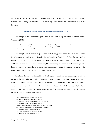Agatha, is able to leave his family again. This time he goes without the menacing furies (hallucinations) that had been pursuing him since he had left home eight years previously. His mother dies upon his departure.

#### **THE SCHIZOPHRENOGENIC MOTHER AND THE SKEWED FAMILY**

<span id="page-5-0"></span>The concept of the "schizophrenogenic mother" was first briefly described by Frieda Fromm-Reichmann (1948).

The schizophrenic is painfully distrustful and resentful of other people, due to the severe early warp and rejection he encountered in important people of his infancy and childhood, as a rule mainly in a schizophrenogenic mother. [p. 265]

The concept with its etiological (and somewhat blaming) implication stimulated considerable clinical research, which has been reviewed and contributed to by Cheek (1964). As in the early work of Johnson and Szurek (1952) on the influence of parents in the acting out of their children, the concept facilitated a shift in emphasis from a model weighted on intrapsychic factors in understanding mental illness to a more interpersonal one. It helped investigators study parents directly and ultimately, by the fifties, helped them study and treatthe entire family as a group.

The clinical literature has, in addition to its etiological emphasis, on rare occasions given a fuller account of the schizophrenic's mother. Searles (1958) for example, in his paper on the relationship between the schizophrenic and his mother, has contributed a more sympathetic view of this vilified woman. The characterization of Amy in *The Family Reunion* is "classical" in its demonic aspects, but it also provides more insight into her "schizophrenogenesis." Amy's opening speech expresses her depression, her fear of death, and her longing for warmth:

I have nothing to do, but watch the days draw out, Now that I sit in the house from October to June, And the swallow comes too soon and the spring will be over And the cuckoo will be gone before I am out again. O sun, that was once so warm, O light that was taken for granted When I was young and strong, and sun and light unsought for And the night unfeared and the day expected And clocks could be trusted, tomorrow assured And time would not stop in the dark! [p. 225]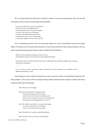We see moments later that this fear of death is rooted in her dread of separation. She sees herself, her family, and her home as inextricably bound together.

If you want to know why I never leave Wishwood That is the reason. I keep Wishwood alive To keep the family alive, to keep them together, To keep me alive, and I live to keep them. You none of you understand how old you are. And death will come to you as a mild surprise, A momentary shudder in a vacant room. [p. 227]

This underlying, pervasive fear of separation makes her exert a formidable control over family affairs. The theme of her all-powerful dominance is first expressed by the other family members who as a chorus speak of being puppets of Amy as they assemble for her birthday.

Why do we feel embarrassed, impatient, fretful, ill at ease, Assembled like amateur actors who have not been assigned their parts?

Like amateur actors in a dream when the curtain rises, to find themselves dressed for a different play, or having rehearsed the wrong parts. . . . . . . . . .

Yet we are here at Amy's command, to play an unread part in some monstrous farce, ridiculous in some nightmare pantomime, [p. 231]

Expressing his sense of Amy's omnipresence, Harry, upon his return, is immediately obsessed with being looked at. The source of this haunting feeling of being observed later emerges as Mary and Harry reminisce about their childhoods.

*Harry*: Why were we not happy?

*Mary*: Well, it all seemed to be imposed upon us; Even the nice things were laid out ready, And the treats were always so carefully prepared; There was never any time to invent our own enjoyments. But perhaps it was all designed for you, not for us.

*Harry*: No, it didn't seem like that. I was part of the design As well as you. But what was the design? It never came off. But do you remember

*Mary*: The hollow tree in what we called the wilderness

*Harry*: Down near the river. That was the block house

www.freepsychotherapy books.org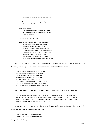From which we fought the Indians. Arthur and John.

*Mary*: It was the cave where we met by moonlight To raise the evil spirits.

*Harry*: Arthur and John.

Of course we were punished for being out at night After being put to bed. But at least they never knew Where we had been.

*Mary*: They never found the secret.

*Harry*: Not then. But later, coming back from school For the holidays, after the formal reception And the family festivities, I made my escape As soon as I could, and slipped down to the river To find the old hiding place. The wilderness was gone, The tree had been felled, and a neat summer-house Had been erected, 'to please the children.' It's absurd that one's only memory of freedom Should be a hollow tree in a wood by the river, [p. 248]

Ever under the watchful eye of Amy, they can recall but one memory of privacy. Harry explains to

the family doctor why he can have no self apart from his mother and her feelings.

Everything has always been referred back to mother. When we were children, before we went to school, The rule of conduct was simply pleasing mother; Misconduct was simply being unkind to mother; What was wrong was whatever made her suffer, And whatever made her happy was what was virtuous — Though never very happy, I remember. That was why We all felt like failures, before we had begun. [pp. 258-259]

#### Fromm-Reichmann (1948) emphasizes the importance of nonverbal aspects of child rearing.

The Schizophrenic, since his childhood days, has been suspiciously aware of the fact that words are used not only to convey but also to veil actual communications. Consequently, he has learned to gather information about people in general, . . . from their inadvertent communications through changes in gesture, attitude, and posture, inflections of voice or expressive movements, [p. 273]

It is clear that Harry has sensed the force of this nonverbal communication when he tells Dr. Warburton about his mother's power over the children.

I think that the things that are taken for granted At home, make a deeper impression upon children

www.freepsychotherapybooks.org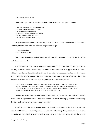Than what they are told. [p. 259]

These seemingly inevitable cues are illustrated in his memory of the day his father died.

I remember the silence, and the hushed excitement And the low conversation of triumphant aunts. It is the conversations not overheard, Not intended to be heard, with the sidewise looks That bring death into the heart of a child. That was the day he died. Of course, [p. 260]

Harry must have hoped that his father might serve as a buffer in his relationship with his mother. On the night he was told of his father's death, he gave up all hope:

. . . When she kissed me, I felt the trap close, [p. 261]

The absence of the father in this family created more of a vacuum within which Amy's need to control was all the greater.

In Lidz's studies of the families of schizophrenics (1960, 1963) he noted the repeated presence of seriously disturbed marital relationships. He divided these into two basic types, which he called schismatic and skewed. The schismatic family was characterized by an open schism between the parents and repeated threats of separation. The skewed family was one with a semblance of harmony due to the acceptance by one spouse of the serious psychopathology of the dominant partner.

In all . . . the fathers were particularly ineffectual, assuming little responsibility for family leadership other than earning a livelihood. They were either weak, ineffectual men who went along with wives who were schizophrenic or at least questionably so, or they were disturbed men who could maintain an outward form of capability and strength because of the support of a masochistic wife. [1960, p. 605]

The Monchensey family appears to be a hybrid of these types. The marriage was schismatic while it lasted. However, upon the husband's departure it became "skewed," not only by his absence but also by the other family members' acceptance of Amy's behavior.

Some insight into the reason for this appears in Amy's bitter statement to her sister. "I *would* have sons,if I could not have a husband" (p. 282). She reveals the interchangeability of husband and son. This generation reversal, together with her wish to keep Harry in an infantile state, suggests the kind of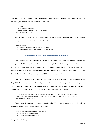contradictory demands made upon schizophrenics. While Amy wants Harry to return and take charge of Wishwood, she nevertheless longs to turn back the clock.

. . . I wanted . . . . . . nothing except to remind him Of the years when he had been a happy boy at Wishwood; For his future success. [p. 283]

Agatha, who has some distance from the family system, responds to this plea for a denial of reality by exposing its relational intent of controlling Harry's life.

Success is relative It is what we can make of the mess we have made of things, It is what he can make, not what you would make for him. [p. 283]

#### **UNDIFFERENTIATION: THE RUBBER-FENCE PHENOMENON**

<span id="page-9-0"></span>The insistence that Harry must make his own life, that he must separate and differentiate from his family, is a central theme of the play. This theme is directly linked with the play's focus on the powerful mother-child relationship. Itis the separation and differentiation from the state of fusion with the mother that psychoanalysts (see Mahler 1952) and many family therapists (e.g., Bowen 1968, Slipp 1973) have described as the primary if not major source of difficulty in schizophrenia.

The play underscores the vital need for separation with its emphasis on life's first separation, birth. Amy's birthday is the occasion for the family reunion. The warm sun she longs for in the opening speech is a kind of wish to return to a state of union with her own mother. These hopes are now displaced and centered on her first-born son. This is in accord with Searles's hypothesis (1965) that:

the well-known symbiotic relatedness . . . is fostered by a transference to this child on the mother's part of feelings and attitudes originally operative in a symbiotic relationship which obtained between herself as a small child and her own mother, [p. 225]

The symbiosis is repeated in the next generation when Harry marries a woman who will not leave him alone. Harry says he has pushed her overboard:

You would never imagine anyone could sink so quickly. I had always supposed, wherever I went That she would be with me; whatever I did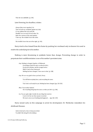That she was unkillable. [p. 235]

Later Downing, his chauffeur, relates:

Always [they were together], Sir. That was just my complaint against my Lady. It's my opinion that man and wife Shouldn't see too much of each other, Sir. Quite the contrary of the usual opinion, I dare say. She wouldn't leave him alone. . . . . . . . . . She wouldn't leave him out of her sight, [p. 241]

Harry tried to free himself from this fusion by pushing her overboard only to discover his need to resolve the underlying tie to his mother.

Nothing is more threatening to symbiotic fusion than change. Preventing change in order to perpetuate their undifferentiation is one of his mother's persistent aims.

> *Amy*: Nothing is changed, Agatha, at Wishwood. Everything is kept the same as when he left it, Except the old pony, and the mongrel setter Which I had to have destroyed. Nothing has been changed. I have seen to that. [p. 228] *Amy*: We are very glad to have you back, Harry. . . . . . . . . . You will find everybody here, and everything the same. . . . . . . . . . Your room is all ready for you. Nothing has been changed. [pp. 232-233] *Mary*: Your mother insisted On everything being kept the same as when you left it. [p. 246] *Ivy*: You are quite right, Gerald, the one thing that matters Is not to let her see that anyone is worried.

We must carry on as if nothing had happened . . . [pp. 266- 267]

Harry sensed early on this campaign to arrest his development. Dr. Warburton remembers his childhood illnesses:

And we had such a time to keep you in bed. You didn't like being ill in the holidays.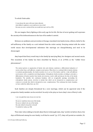#### To which Violet adds:

It was always the same with your minor ailments And children's epidemics: you would never stay in bed Because you were convinced that you would never get well. [p. 255]

We can imagine Harry fighting at this early age for his life. His fear of never getting well expresses the anxiety of his defenselessness in the face of his mother's control.

Reliance on symbiosis and prevention of change, translated into family terms, reflects a belief in the self-sufficiency of the family as a unit isolated from the wider society. Denying contact with the wider world means that developmental milestones like marriage are disequilibrating and tend to be discouraged.

Amy hoped that Harry would stay in the family by marrying Mary, her designee and second cousin. This insulation of the family has been described by Wynne, et al. (1958) as the "rubber fence phenomenon":

The normal pattern or organization of family roles and relations constitutes a differentiated subsystem of society rather than a self-sufficient, complete social system. When there is a continual effort in family relations to maintain pseudomutuality, the family members try to act as if the family could be a truly self-sufficient social system with a completely encircling boundary. Schizophrenic family members, in failing to articulate a differentiation of family member from family role structure, tend to shift and obscure the idea of the family boundaries. The unstable, but continuous boundary, with no recognizable openings, surrounding the schizophrenic family system, stretches to include that which can be interpreted as complementary and contracts to extrude that which is interpreted as non- complementary. This continuous but elastic boundary we have called the rubber fence, [p. 211]

Such families are deeply threatened by a new marriage, which can be approved only if the prospective family member can be encircled. So early in the play we learn Amy's view of Harry's wife.

I am very glad that none of you ever met her. . . . . . . . . . She never would have been one of the family, She never wished to be one of the family, She only wished to keep him to herself To satisfy her vanity, [p. 230]

Then later when talking to Gerald about Harry's distraught state, Amy "prefers to believe that a few days at Wishwood among his own family, is all that he needs" (p. 237). Amy will permit an outsider, Dr.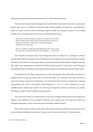Warburton, to speak with Harry only because he is an "old friend of the family."

Family secrets become especially important in such families, not because they really are secrets, but because they serve as a rationale for keeping family members together. In this sense a schizophrenic's family is a kind of secret society demanding complete loyalty and placing a pressure on the family members who, in the play, speak as an uneasy, undifferentiated chorus:

Why should we stand here like guilty conspirators, waiting for some revelation When the hidden shall be exposed, and the newsboy shall shout in the street? When the private shall be made public, the common photographer Flashlight for the picture papers. . . . Why do we all behave as if the door might suddenly open, the curtain be drawn The cellar make some dreadful disclosure, the roof disappear . . . [pp. 242-243]

The metaphor of the open door or the disappearing roof at a family level, is analogous to Freud's concept of the lifting of repression at the individual level. The family secrets serve toprotect the unity of the family, as the defense of repression hopes to control the instincts and thereby the integrity of the ego. How often have schizophrenics revealed the family secrets during the acute state of their illnesses, thereby blowing the lid off both in terms of family organization and individual personality organization.

That individual and family organization are thus conceptually and existentially interlocked is grappled with in a paper by Laing (1967). He sees "the family" as a synthesis of the internalization of each of its member's experience of "the family." He concludes that"the 'family'is united by the reciprocal internalization by each of each other's internalization" (p. 111). It is this coinherence in more undifferentiated families that leads to the blurring of boundaries between individual and family, reflecting in another way the rubber-fence phenomenon.

The recent innovation of "network therapy" may owe it's alleged effectiveness in the treatment of families of schizophrenics to the resultant widening of the family circle. The network counters the centripetal fusing force, which leaves individual and family undifferentiated.

When Harry finally is ready to leave home, Mary, still sharing in the family fear of separation, tries to extract from his chauffeur and servant a "promise never to leave his Lordship." Downing replies: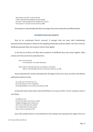After all these years that I've been with him I think I understand his Lordship better than anybody; And I have a kind of feeling that his Lordship won't need me Very long now. I can't give you any reasons. [p. 288]

Downing here acknowledges thatHarry has begun the process of growth and differentiation.

#### **DIFFERENTIATIONAND GROWTH**

<span id="page-13-0"></span>How do we understand Harry's recovery? It emerges from two more solid relationships characterized by mutuality in contrast to the engulfing relationship with his mother. The first is with his childhood playmate, Mary; the second is with his Aunt Agatha.

In the first act as Harry and Mary share memories of childhood, they move closer together. Mary reaches out to him and tries to understand him.

> *Harry*: You do not know, You cannot know, You cannot understand.

*Mary*: I think I could understand, but you would have to be patient With me, and with people who have not had your experience, [p. 250]

Harry insists that she cannot understand him. He begins to drive her away, and then with obvious ambivalence asks her to stay:

No, no don't go. Please don't leave me Just at this moment. I feel it is important. Something should have come of this conversation, [p. 250]

As they then move closer, Harry, who had felt there is no way out of his "no exit" existence, senses a ray of hope:

You bring me news Of a door that opens at the end of a corridor, Sunlight and singing; when I had felt sure That every corridor only led to another, Or to a blank wall; that I kept moving Only so as not to stay still, [p. 252]

Just at this moment Harry is overwhelmed by such intimacy and reprojects the image of his ever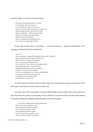#### watchful mother, in the form of hallucinations.

Don't look at me like that! Stop! Try to stop it! I am going. Oh, why, now? Come out! Come out! Where are you? Let me see you, Since I know you are there, I know you are spying on me. Why do you play with me, why do you let me go, Only to surround me? — When I remember them They leave me alone; when I forget them Only for an instant of inattention They are roused again, the sleepless hunters That will not let me sleep, [pp. 252-253]

In this state of panic Harry, in speaking — to his hallucinations — begins to differentiate a new emerging self from the self of his childhood.

Come out! (The curtains part, revealing the Eumenides in the window embrasure.) Why do you show yourselves now for the first time? When I knew her, I was not the same person. I was not any person. Nothing that I did Has to do with me. The accident of a dreaming moment, Of a dreaming age, when I was someone else Thinking of something else, puts me among you. I tell you, it is not me you are looking at Not me you are grinning at, not me your confidential looks Incriminate, but that other person, if person, You thought I was: let your necrophily Feed upon that carcase, [p. 253]

So at the moment of being touched by Mary, Harry feels himself more trapped by his inner world, but he gives a hint that he wishes to shed a former self.

From the outset of the play Agatha is the most differentiated from the family. She is less involved in the need to keep the family as unchanging. Early in the play in response to Amy's insistence that nothing is changed at Wishwood, Agatha predicts that Harry will have changed.

. . . . I mean that at Wishwood he will find another Harry. The man who returns will have to meet The boy who left. Round by the stables, In the coach-house, in the orchard, In the plantation, down the corridor That led to the nursery, round the corner Of the new wing, he will have to face him —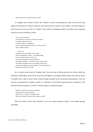And it will not be a very *jolly* corner, [p. 229]

It is Agatha who reveals to Harry the "hidden" secrets surrounding his birth. He discovers that Agatha had become his father's mistress, had prevented the murder of his mother, and had longed to have him as her own son. She is a "mother" who unlike his biological mother can allow him to separate and grow, and he exclaims in relief:

Look, I do not know why, I feel happy for a moment, as if I had come home. It is quite irrational, but now I feel quite happy, as if happiness Did not consist in getting rid of what can't be got rid of But in a different vision. . . . . . . . Now I see I might even become fonder of my mother — More compassionate at least — by understanding. But she would not like that. Now I see I have been wounded in a war of phantoms. Not by human beings — they have no more power than I. The things I thought were real are shadows, and the real Are what I thought were private shadows. O that awful privacy Of the insane mind! [p. 275-276]

He is finally freed from the "knotted cord" that ties him to Wishwood and his illness. With the assistance of both Mary, who tries to reach him and Agatha, a surrogate mother, Harry experiences a kind of rebirth and is able to leave home without being haunted by his pursuing hallucinations. That his recovery necessitated his mother's death is a reflection of what Eliot expressed more explicitly in *The Cocktail Party* (see chapter 2) when Dr. Reilly insists on seeing the family:

Indeed, it is often the case that my patients Are only pieces of a total situation Which I have to explore. The single patient Who is ill by himself, is rather the exception, [p. 350]

What the limits of that "total situation" are is the central question asked in the family therapy paradigm.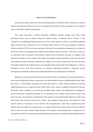#### **WHAT IS SCHIZOPHRENIA?**

<span id="page-16-0"></span>In times past Harry would have been deemed possessed or demented. More recently he would be labeled schizophrenic. All these views have in common that "madness" enters, originates in, or is equated with an individual's mind or personality.

The recent innovation of family psychiatry establishes another vantage point from which individual illness may be viewed. Using the medical idiom, we describe Harry's "illness" as the "symptom" of a pathological family process one of the central aspects of which is a persistent symbiotic bond structured and reinforced by a set of family myths (Ferreira 1963) and programs of behavior (Ferber and Beels 1970). In his own discussion of the play, Eliot criticized its ambiguity as to whether it would be viewed as the tragedy of the mother or the salvation of the son (1961, p. 90). This is a query at an individual level of analysis. Viewed from a family frame of reference, the play is a tragedy of the Monchensey family or of any family if the death of one family member must follow upon the separation and growth of another. But more important, the tragedy is not in Amy's death but in the lives of each of the family members to the degree that he is inextricably bound to the family. The ambiguity is, in fact, an indication of how well Eliot perceived an essential underlying dynamic in abnormal human development, namely the complex interrelationship between two almost fused individuals.

What then is schizophrenia? This chapter has discussed the central theme of *The Family Reunion* as that of the developmental phase of separation and differentiation from an undifferentiated state. When this phase is unsuccessfully negotiated in parent and child in a family without sufficient countering differentiating forces, an atypical person results. Often such a person is labeled schizophrenic because the family needs to stabilize an increasingly unstable family system. This stabilization is analogous to Freud's discussion of symptom formation on an individual level. A family system achieves some relief when the focus of its tensions is hospitalized. The patient is separated from the family but at the same time further tied to them by virtue of his "illness" and subsequent dependency. The impulse to retain and the defense of extrusion are here united in the hospitalization, which like a symptom may then become fixed and subject to secondary gain. In a family system the secondary gain is shared by all and leads to what has been termed family collusion. The dangers of thus diagnosing a young person as schizophrenic when he is trying unsuccessfully to break away from an undifferentiated family has been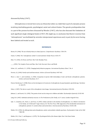discussed by Haley (1967).

Schizophrenia is viewed here not as an illness but rather as a label that is part of a dynamic process involving interlocking genetic, psychological, social and cultural factors. The genetic predisposition that is a part of the process has been discussed by Wender (1967), who has also discussed the limitations of such significant single etiological factors (1967). We might say, in conclusion that Harry's recovery from "schizophrenia" was facilitated by corrective interpersonal experiences and, in part, by his never having been labeled and treated as such.

#### **REFERENCES**

- <span id="page-17-0"></span>Bowen, M. (1966). The use of family theory in clinical practice. *Comprehensive Psychiatry 7*:354-374.
- Cheek, F. (1964). The "schizophrenic mother" in word and deed. *Family Process 3*:155-177.
- Eliot, T.S. (1961). *On Poetry and Poets*. New York: Noonday Press.
- \_\_\_\_\_\_(1952). *The Complete Poems and Plays*. New York: Harcourt, Brace and World.
- Ferber, A.S., and Beels, C.C. (1970). Changing family behavior programs. *International Psychiatry Clinics 7*, No. 4.
- Ferreira, A.J. (1963). Family myth and homeostasis. *Archives of General Psychiatry 9*:457-463.
- Fleck, S., Lidz, T., and Cornelison, A. (1963). Comparison of parent-child relationships of male and female schizophrenic patients. *Archives of General Psychiatry. 8*:1-7.
- Fromm-Reichmann, F. (1948). Notes on the development of treatment of schizophrenics by psychoanalytic psychotherapy. *Psychiatry 11*: 263-273.
- Haley, J. (1967). The doctor as part of the schizophrenic interchange. International *Journal of Psychiatry 4*:534-542.

Johnson, A., and Szurek, S.A. (1952). The genesis of anti-social acting out in children and adults. *Psychoanalytic Quarterly 21*:323-343.

- Laing, R.D. (1967). Individual and family structure. In *The Predicament of the Family*, ed. P. Lomas. London: Hogarth Press.
- Lidz, T., Cornelison, A.R., Fleck, S., and Terry, D. (1957). Schism and skew in the families of schizophrenics. In *A Modern Introduction to the Family*, ed. N. Bell and F. Vogel. Glencoe, Ill.: The Free Press, 1960. Appeared as The intrafamilial environment of schizophrenic patients: II. marital schism and marital skew. *American Journal of Psychiatry 114*:241-248.
- Mahler, M.S. (1952). On child psychosis and schizophrenia: autistic and symbiotic infantile psychoses. *Psychoanalytic Study of the Child 7*:286-305.

Mahler, M.S., Pine, F., and Bergman, A. (1975). *The Psychological Birth of the Human Infant*. New York: Basic Books.